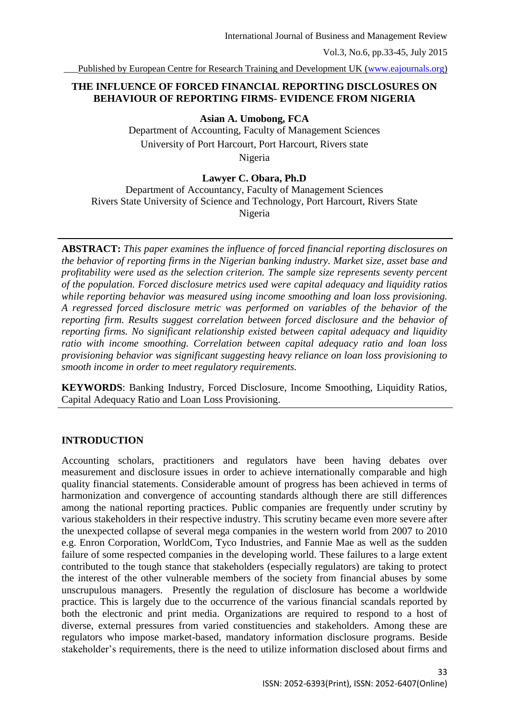## **THE INFLUENCE OF FORCED FINANCIAL REPORTING DISCLOSURES ON BEHAVIOUR OF REPORTING FIRMS- EVIDENCE FROM NIGERIA**

**Asian A. Umobong, FCA**

Department of Accounting, Faculty of Management Sciences University of Port Harcourt, Port Harcourt, Rivers state Nigeria

### **Lawyer C. Obara, Ph.D**

Department of Accountancy, Faculty of Management Sciences Rivers State University of Science and Technology, Port Harcourt, Rivers State Nigeria

**ABSTRACT:** *This paper examines the influence of forced financial reporting disclosures on the behavior of reporting firms in the Nigerian banking industry. Market size, asset base and profitability were used as the selection criterion. The sample size represents seventy percent of the population. Forced disclosure metrics used were capital adequacy and liquidity ratios while reporting behavior was measured using income smoothing and loan loss provisioning. A regressed forced disclosure metric was performed on variables of the behavior of the reporting firm. Results suggest correlation between forced disclosure and the behavior of reporting firms. No significant relationship existed between capital adequacy and liquidity ratio with income smoothing. Correlation between capital adequacy ratio and loan loss provisioning behavior was significant suggesting heavy reliance on loan loss provisioning to smooth income in order to meet regulatory requirements.* 

**KEYWORDS**: Banking Industry, Forced Disclosure, Income Smoothing, Liquidity Ratios, Capital Adequacy Ratio and Loan Loss Provisioning.

#### **INTRODUCTION**

Accounting scholars, practitioners and regulators have been having debates over measurement and disclosure issues in order to achieve internationally comparable and high quality financial statements. Considerable amount of progress has been achieved in terms of harmonization and convergence of accounting standards although there are still differences among the national reporting practices. Public companies are frequently under scrutiny by various stakeholders in their respective industry. This scrutiny became even more severe after the unexpected collapse of several mega companies in the western world from 2007 to 2010 e.g. Enron Corporation, WorldCom, Tyco Industries, and Fannie Mae as well as the sudden failure of some respected companies in the developing world. These failures to a large extent contributed to the tough stance that stakeholders (especially regulators) are taking to protect the interest of the other vulnerable members of the society from financial abuses by some unscrupulous managers. Presently the regulation of disclosure has become a worldwide practice. This is largely due to the occurrence of the various financial scandals reported by both the electronic and print media. Organizations are required to respond to a host of diverse, external pressures from varied constituencies and stakeholders. Among these are regulators who impose market-based, mandatory information disclosure programs. Beside stakeholder's requirements, there is the need to utilize information disclosed about firms and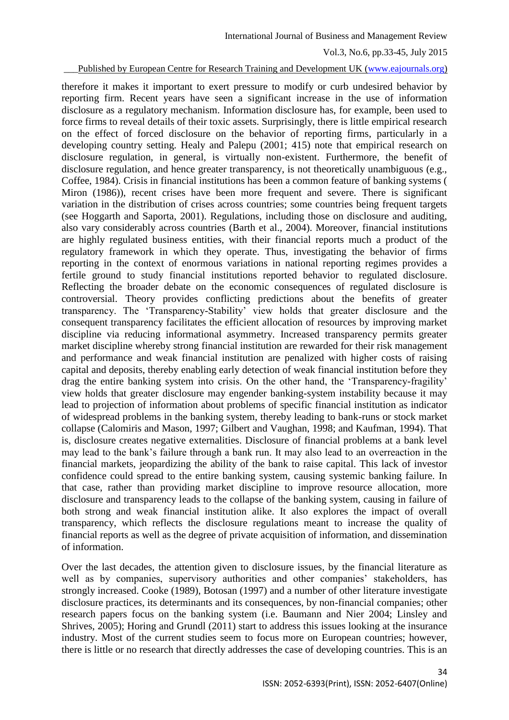#### Published by European Centre for Research Training and Development UK [\(www.eajournals.org\)](http://www.eajournals.org/)

therefore it makes it important to exert pressure to modify or curb undesired behavior by reporting firm. Recent years have seen a significant increase in the use of information disclosure as a regulatory mechanism. Information disclosure has, for example, been used to force firms to reveal details of their toxic assets. Surprisingly, there is little empirical research on the effect of forced disclosure on the behavior of reporting firms, particularly in a developing country setting. Healy and Palepu (2001; 415) note that empirical research on disclosure regulation, in general, is virtually non-existent. Furthermore, the benefit of disclosure regulation, and hence greater transparency, is not theoretically unambiguous (e.g., Coffee, 1984). Crisis in financial institutions has been a common feature of banking systems ( Miron (1986)), recent crises have been more frequent and severe. There is significant variation in the distribution of crises across countries; some countries being frequent targets (see Hoggarth and Saporta, 2001). Regulations, including those on disclosure and auditing, also vary considerably across countries (Barth et al., 2004). Moreover, financial institutions are highly regulated business entities, with their financial reports much a product of the regulatory framework in which they operate. Thus, investigating the behavior of firms reporting in the context of enormous variations in national reporting regimes provides a fertile ground to study financial institutions reported behavior to regulated disclosure. Reflecting the broader debate on the economic consequences of regulated disclosure is controversial. Theory provides conflicting predictions about the benefits of greater transparency. The 'Transparency-Stability' view holds that greater disclosure and the consequent transparency facilitates the efficient allocation of resources by improving market discipline via reducing informational asymmetry. Increased transparency permits greater market discipline whereby strong financial institution are rewarded for their risk management and performance and weak financial institution are penalized with higher costs of raising capital and deposits, thereby enabling early detection of weak financial institution before they drag the entire banking system into crisis. On the other hand, the 'Transparency-fragility' view holds that greater disclosure may engender banking-system instability because it may lead to projection of information about problems of specific financial institution as indicator of widespread problems in the banking system, thereby leading to bank-runs or stock market collapse (Calomiris and Mason, 1997; Gilbert and Vaughan, 1998; and Kaufman, 1994). That is, disclosure creates negative externalities. Disclosure of financial problems at a bank level may lead to the bank's failure through a bank run. It may also lead to an overreaction in the financial markets, jeopardizing the ability of the bank to raise capital. This lack of investor confidence could spread to the entire banking system, causing systemic banking failure. In that case, rather than providing market discipline to improve resource allocation, more disclosure and transparency leads to the collapse of the banking system, causing in failure of both strong and weak financial institution alike. It also explores the impact of overall transparency, which reflects the disclosure regulations meant to increase the quality of financial reports as well as the degree of private acquisition of information, and dissemination of information.

Over the last decades, the attention given to disclosure issues, by the financial literature as well as by companies, supervisory authorities and other companies' stakeholders, has strongly increased. Cooke (1989), Botosan (1997) and a number of other literature investigate disclosure practices, its determinants and its consequences, by non-financial companies; other research papers focus on the banking system (i.e. Baumann and Nier 2004; Linsley and Shrives, 2005); Horing and Grundl (2011) start to address this issues looking at the insurance industry. Most of the current studies seem to focus more on European countries; however, there is little or no research that directly addresses the case of developing countries. This is an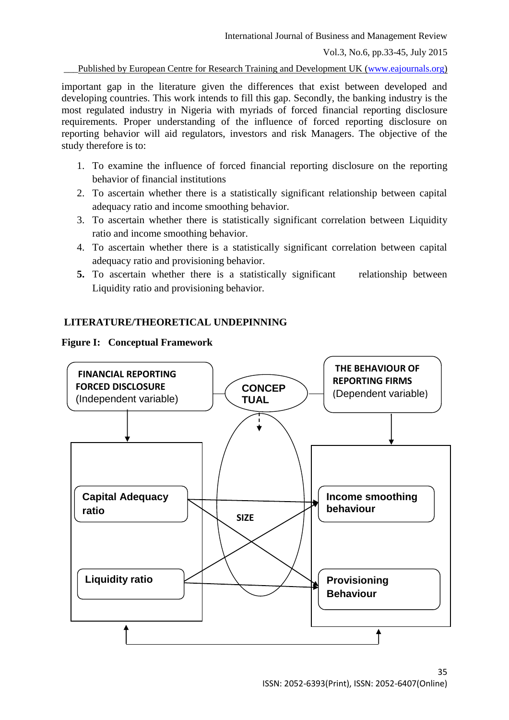International Journal of Business and Management Review

Vol.3, No.6, pp.33-45, July 2015

Published by European Centre for Research Training and Development UK [\(www.eajournals.org\)](http://www.eajournals.org/)

important gap in the literature given the differences that exist between developed and developing countries. This work intends to fill this gap. Secondly, the banking industry is the most regulated industry in Nigeria with myriads of forced financial reporting disclosure requirements. Proper understanding of the influence of forced reporting disclosure on reporting behavior will aid regulators, investors and risk Managers. The objective of the study therefore is to:

- 1. To examine the influence of forced financial reporting disclosure on the reporting behavior of financial institutions
- 2. To ascertain whether there is a statistically significant relationship between capital adequacy ratio and income smoothing behavior.
- 3. To ascertain whether there is statistically significant correlation between Liquidity ratio and income smoothing behavior.
- 4. To ascertain whether there is a statistically significant correlation between capital adequacy ratio and provisioning behavior.
- **5.** To ascertain whether there is a statistically significant relationship between Liquidity ratio and provisioning behavior.

# **LITERATURE/THEORETICAL UNDEPINNING**



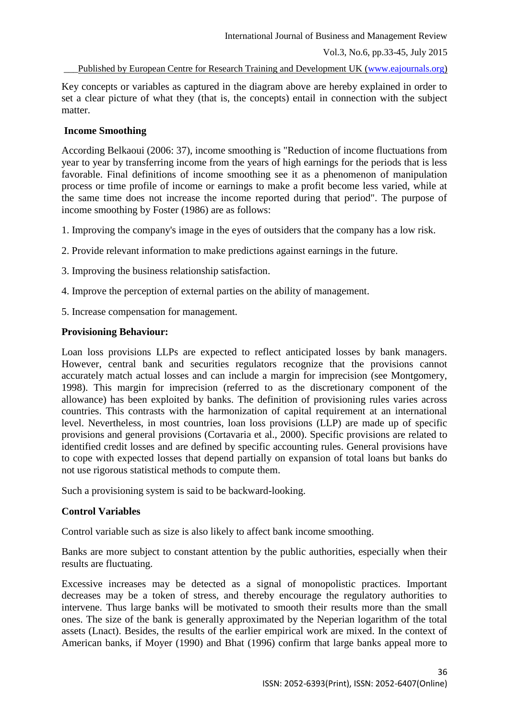Key concepts or variables as captured in the diagram above are hereby explained in order to set a clear picture of what they (that is, the concepts) entail in connection with the subject matter.

## **Income Smoothing**

According Belkaoui (2006: 37), income smoothing is "Reduction of income fluctuations from year to year by transferring income from the years of high earnings for the periods that is less favorable. Final definitions of income smoothing see it as a phenomenon of manipulation process or time profile of income or earnings to make a profit become less varied, while at the same time does not increase the income reported during that period". The purpose of income smoothing by Foster (1986) are as follows:

- 1. Improving the company's image in the eyes of outsiders that the company has a low risk.
- 2. Provide relevant information to make predictions against earnings in the future.
- 3. Improving the business relationship satisfaction.
- 4. Improve the perception of external parties on the ability of management.
- 5. Increase compensation for management.

## **Provisioning Behaviour:**

Loan loss provisions LLPs are expected to reflect anticipated losses by bank managers. However, central bank and securities regulators recognize that the provisions cannot accurately match actual losses and can include a margin for imprecision (see Montgomery, 1998). This margin for imprecision (referred to as the discretionary component of the allowance) has been exploited by banks. The definition of provisioning rules varies across countries. This contrasts with the harmonization of capital requirement at an international level. Nevertheless, in most countries, loan loss provisions (LLP) are made up of specific provisions and general provisions (Cortavaria et al., 2000). Specific provisions are related to identified credit losses and are defined by specific accounting rules. General provisions have to cope with expected losses that depend partially on expansion of total loans but banks do not use rigorous statistical methods to compute them.

Such a provisioning system is said to be backward-looking.

### **Control Variables**

Control variable such as size is also likely to affect bank income smoothing.

Banks are more subject to constant attention by the public authorities, especially when their results are fluctuating.

Excessive increases may be detected as a signal of monopolistic practices. Important decreases may be a token of stress, and thereby encourage the regulatory authorities to intervene. Thus large banks will be motivated to smooth their results more than the small ones. The size of the bank is generally approximated by the Neperian logarithm of the total assets (Lnact). Besides, the results of the earlier empirical work are mixed. In the context of American banks, if Moyer (1990) and Bhat (1996) confirm that large banks appeal more to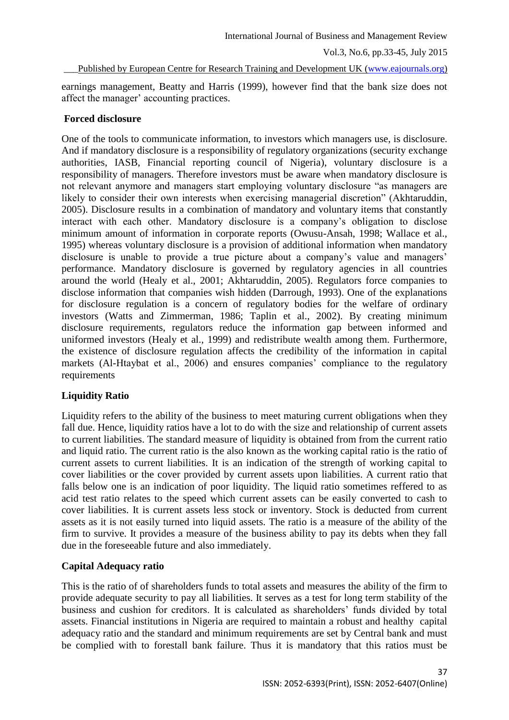Published by European Centre for Research Training and Development UK [\(www.eajournals.org\)](http://www.eajournals.org/)

earnings management, Beatty and Harris (1999), however find that the bank size does not affect the manager' accounting practices.

### **Forced disclosure**

One of the tools to communicate information, to investors which managers use, is disclosure. And if mandatory disclosure is a responsibility of regulatory organizations (security exchange authorities, IASB, Financial reporting council of Nigeria), voluntary disclosure is a responsibility of managers. Therefore investors must be aware when mandatory disclosure is not relevant anymore and managers start employing voluntary disclosure "as managers are likely to consider their own interests when exercising managerial discretion" (Akhtaruddin, 2005). Disclosure results in a combination of mandatory and voluntary items that constantly interact with each other. Mandatory disclosure is a company's obligation to disclose minimum amount of information in corporate reports (Owusu-Ansah, 1998; Wallace et al., 1995) whereas voluntary disclosure is a provision of additional information when mandatory disclosure is unable to provide a true picture about a company's value and managers' performance. Mandatory disclosure is governed by regulatory agencies in all countries around the world (Healy et al., 2001; Akhtaruddin, 2005). Regulators force companies to disclose information that companies wish hidden (Darrough, 1993). One of the explanations for disclosure regulation is a concern of regulatory bodies for the welfare of ordinary investors (Watts and Zimmerman, 1986; Taplin et al., 2002). By creating minimum disclosure requirements, regulators reduce the information gap between informed and uniformed investors (Healy et al., 1999) and redistribute wealth among them. Furthermore, the existence of disclosure regulation affects the credibility of the information in capital markets (Al-Htaybat et al., 2006) and ensures companies' compliance to the regulatory requirements

# **Liquidity Ratio**

Liquidity refers to the ability of the business to meet maturing current obligations when they fall due. Hence, liquidity ratios have a lot to do with the size and relationship of current assets to current liabilities. The standard measure of liquidity is obtained from from the current ratio and liquid ratio. The current ratio is the also known as the working capital ratio is the ratio of current assets to current liabilities. It is an indication of the strength of working capital to cover liabilities or the cover provided by current assets upon liabilities. A current ratio that falls below one is an indication of poor liquidity. The liquid ratio sometimes reffered to as acid test ratio relates to the speed which current assets can be easily converted to cash to cover liabilities. It is current assets less stock or inventory. Stock is deducted from current assets as it is not easily turned into liquid assets. The ratio is a measure of the ability of the firm to survive. It provides a measure of the business ability to pay its debts when they fall due in the foreseeable future and also immediately.

### **Capital Adequacy ratio**

This is the ratio of of shareholders funds to total assets and measures the ability of the firm to provide adequate security to pay all liabilities. It serves as a test for long term stability of the business and cushion for creditors. It is calculated as shareholders' funds divided by total assets. Financial institutions in Nigeria are required to maintain a robust and healthy capital adequacy ratio and the standard and minimum requirements are set by Central bank and must be complied with to forestall bank failure. Thus it is mandatory that this ratios must be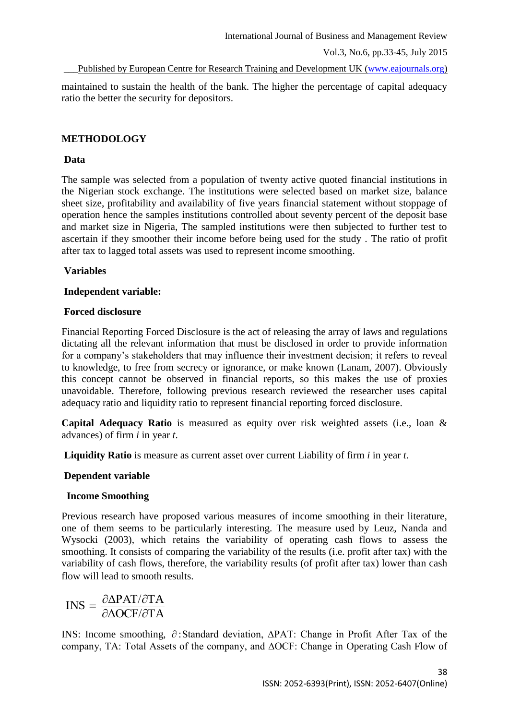Published by European Centre for Research Training and Development UK [\(www.eajournals.org\)](http://www.eajournals.org/)

maintained to sustain the health of the bank. The higher the percentage of capital adequacy ratio the better the security for depositors.

# **METHODOLOGY**

## **Data**

The sample was selected from a population of twenty active quoted financial institutions in the Nigerian stock exchange. The institutions were selected based on market size, balance sheet size, profitability and availability of five years financial statement without stoppage of operation hence the samples institutions controlled about seventy percent of the deposit base and market size in Nigeria, The sampled institutions were then subjected to further test to ascertain if they smoother their income before being used for the study . The ratio of profit after tax to lagged total assets was used to represent income smoothing.

# **Variables**

## **Independent variable:**

## **Forced disclosure**

Financial Reporting Forced Disclosure is the act of releasing the array of laws and regulations dictating all the relevant information that must be disclosed in order to provide information for a company's stakeholders that may influence their investment decision; it refers to reveal to knowledge, to free from secrecy or ignorance, or make known (Lanam, 2007). Obviously this concept cannot be observed in financial reports, so this makes the use of proxies unavoidable. Therefore, following previous research reviewed the researcher uses capital adequacy ratio and liquidity ratio to represent financial reporting forced disclosure.

**Capital Adequacy Ratio** is measured as equity over risk weighted assets (i.e., loan & advances) of firm *i* in year *t*.

**Liquidity Ratio** is measure as current asset over current Liability of firm *i* in year *t*.

# **Dependent variable**

# **Income Smoothing**

Previous research have proposed various measures of income smoothing in their literature, one of them seems to be particularly interesting. The measure used by Leuz, Nanda and Wysocki (2003), which retains the variability of operating cash flows to assess the smoothing. It consists of comparing the variability of the results (i.e. profit after tax) with the variability of cash flows, therefore, the variability results (of profit after tax) lower than cash flow will lead to smooth results.

$$
INS = \frac{\partial \Delta PAT/\partial TA}{\partial \Delta OCF/\partial TA}
$$

INS: Income smoothing, ∂:Standard deviation, ΔPAT: Change in Profit After Tax of the company, TA: Total Assets of the company, and ∆OCF: Change in Operating Cash Flow of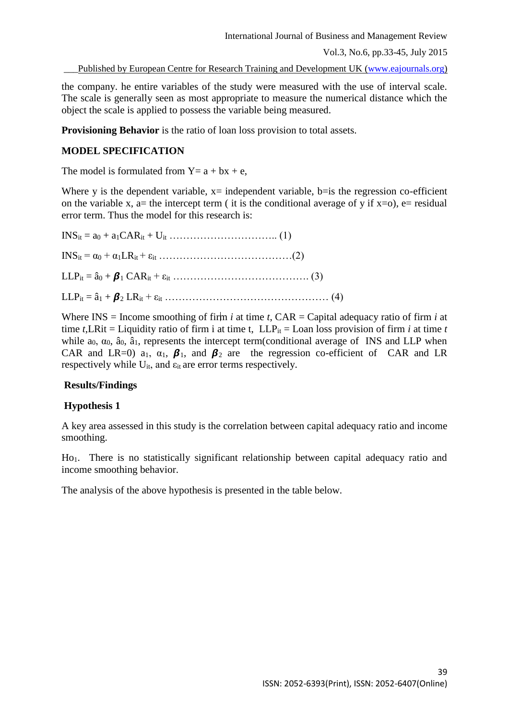Published by European Centre for Research Training and Development UK [\(www.eajournals.org\)](http://www.eajournals.org/)

the company. he entire variables of the study were measured with the use of interval scale. The scale is generally seen as most appropriate to measure the numerical distance which the object the scale is applied to possess the variable being measured.

**Provisioning Behavior** is the ratio of loan loss provision to total assets.

### **MODEL SPECIFICATION**

The model is formulated from  $Y = a + bx + e$ ,

Where y is the dependent variable,  $x=$  independent variable, b=is the regression co-efficient on the variable x, a= the intercept term ( it is the conditional average of y if  $x=0$ ), e= residual error term. Thus the model for this research is:

INSit = a<sup>0</sup> + a1CARit + Uit ………………………….. (1) INSit = α<sup>0</sup> + α1LRit + εit …………………………………(2) LLPit = â<sup>0</sup> + <sup>1</sup> CARit + εit …………………………………. (3) LLPit = â<sup>1</sup> + <sup>2</sup> LRit + εit ………………………………………… (4)

Where  $INS = Income$  smoothing of firm *i* at time *t*,  $CAR = Capital$  adequacy ratio of firm *i* at time *t*, LRit = Liquidity ratio of firm i at time *t*, LLP<sub>it</sub> = Loan loss provision of firm *i* at time *t* while  $a_0$ ,  $\alpha_0$ ,  $\hat{a}_0$ ,  $\hat{a}_1$ , represents the intercept term(conditional average of INS and LLP when CAR and LR=0) a<sub>1</sub>,  $\alpha_1$ ,  $\beta_1$ , and  $\beta_2$  are the regression co-efficient of CAR and LR respectively while  $U_{it}$ , and  $\varepsilon_{it}$  are error terms respectively.

### **Results/Findings**

### **Hypothesis 1**

A key area assessed in this study is the correlation between capital adequacy ratio and income smoothing.

Ho1. There is no statistically significant relationship between capital adequacy ratio and income smoothing behavior.

The analysis of the above hypothesis is presented in the table below.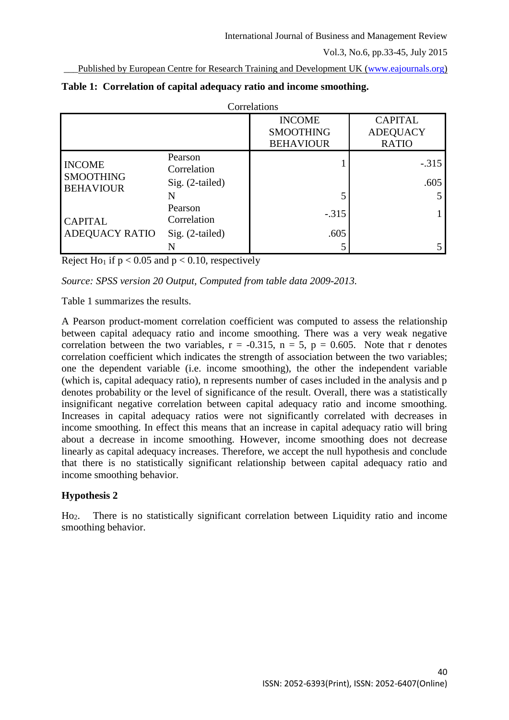Published by European Centre for Research Training and Development UK [\(www.eajournals.org\)](http://www.eajournals.org/)

| Correlations                                          |                                             |                                                       |                                                   |  |  |
|-------------------------------------------------------|---------------------------------------------|-------------------------------------------------------|---------------------------------------------------|--|--|
|                                                       |                                             | <b>INCOME</b><br><b>SMOOTHING</b><br><b>BEHAVIOUR</b> | <b>CAPITAL</b><br><b>ADEQUACY</b><br><b>RATIO</b> |  |  |
| <b>INCOME</b><br><b>SMOOTHING</b><br><b>BEHAVIOUR</b> | Pearson<br>Correlation<br>$Sig. (2-tailed)$ |                                                       | $-.315$<br>.605                                   |  |  |
|                                                       | N<br>Pearson                                |                                                       |                                                   |  |  |
| <b>CAPITAL</b><br><b>ADEQUACY RATIO</b>               | Correlation                                 | $-.315$                                               |                                                   |  |  |
|                                                       | $Sig. (2-tailed)$                           | .605                                                  |                                                   |  |  |
|                                                       |                                             |                                                       |                                                   |  |  |

|  | Table 1: Correlation of capital adequacy ratio and income smoothing. |  |  |  |  |  |
|--|----------------------------------------------------------------------|--|--|--|--|--|
|--|----------------------------------------------------------------------|--|--|--|--|--|

Reject Ho<sub>1</sub> if  $p < 0.05$  and  $p < 0.10$ , respectively

*Source: SPSS version 20 Output, Computed from table data 2009-2013.*

Table 1 summarizes the results.

A Pearson product-moment correlation coefficient was computed to assess the relationship between capital adequacy ratio and income smoothing. There was a very weak negative correlation between the two variables,  $r = -0.315$ ,  $n = 5$ ,  $p = 0.605$ . Note that r denotes correlation coefficient which indicates the strength of association between the two variables; one the dependent variable (i.e. income smoothing), the other the independent variable (which is, capital adequacy ratio), n represents number of cases included in the analysis and p denotes probability or the level of significance of the result. Overall, there was a statistically insignificant negative correlation between capital adequacy ratio and income smoothing. Increases in capital adequacy ratios were not significantly correlated with decreases in income smoothing. In effect this means that an increase in capital adequacy ratio will bring about a decrease in income smoothing. However, income smoothing does not decrease linearly as capital adequacy increases. Therefore, we accept the null hypothesis and conclude that there is no statistically significant relationship between capital adequacy ratio and income smoothing behavior.

# **Hypothesis 2**

Ho2. There is no statistically significant correlation between Liquidity ratio and income smoothing behavior.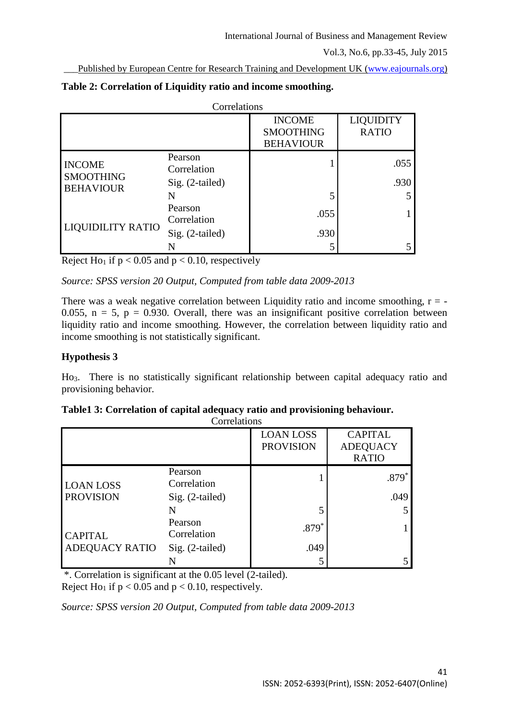Published by European Centre for Research Training and Development UK [\(www.eajournals.org\)](http://www.eajournals.org/)

| Correlations                      |                                           |                                                       |                                  |  |
|-----------------------------------|-------------------------------------------|-------------------------------------------------------|----------------------------------|--|
|                                   |                                           | <b>INCOME</b><br><b>SMOOTHING</b><br><b>BEHAVIOUR</b> | <b>LIQUIDITY</b><br><b>RATIO</b> |  |
| <b>INCOME</b><br><b>SMOOTHING</b> | Pearson<br>Correlation<br>Sig. (2-tailed) |                                                       | .055<br>.930                     |  |
| <b>BEHAVIOUR</b>                  | N                                         |                                                       |                                  |  |
| <b>LIQUIDILITY RATIO</b>          | Pearson<br>Correlation                    | .055                                                  |                                  |  |
|                                   | Sig. (2-tailed)                           | .930                                                  |                                  |  |
|                                   |                                           |                                                       |                                  |  |

| Table 2: Correlation of Liquidity ratio and income smoothing. |  |  |  |
|---------------------------------------------------------------|--|--|--|
|---------------------------------------------------------------|--|--|--|

Reject Ho<sub>1</sub> if  $p < 0.05$  and  $p < 0.10$ , respectively

*Source: SPSS version 20 Output, Computed from table data 2009-2013*

There was a weak negative correlation between Liquidity ratio and income smoothing,  $r = -$ 0.055,  $n = 5$ ,  $p = 0.930$ . Overall, there was an insignificant positive correlation between liquidity ratio and income smoothing. However, the correlation between liquidity ratio and income smoothing is not statistically significant.

## **Hypothesis 3**

Ho3. There is no statistically significant relationship between capital adequacy ratio and provisioning behavior.

| Correlations                            |                                           |                                      |                                                   |
|-----------------------------------------|-------------------------------------------|--------------------------------------|---------------------------------------------------|
|                                         |                                           | <b>LOAN LOSS</b><br><b>PROVISION</b> | <b>CAPITAL</b><br><b>ADEQUACY</b><br><b>RATIO</b> |
| <b>LOAN LOSS</b><br><b>PROVISION</b>    | Pearson<br>Correlation<br>Sig. (2-tailed) |                                      | $.879*$<br>.049                                   |
|                                         | N<br>Pearson                              | $.879*$                              | 5                                                 |
| <b>CAPITAL</b><br><b>ADEQUACY RATIO</b> | Correlation<br>$Sig. (2-tailed)$          | .049                                 |                                                   |
|                                         |                                           |                                      |                                                   |

**Table1 3: Correlation of capital adequacy ratio and provisioning behaviour.**

\*. Correlation is significant at the 0.05 level (2-tailed). Reject Ho<sub>1</sub> if  $p < 0.05$  and  $p < 0.10$ , respectively.

*Source: SPSS version 20 Output, Computed from table data 2009-2013*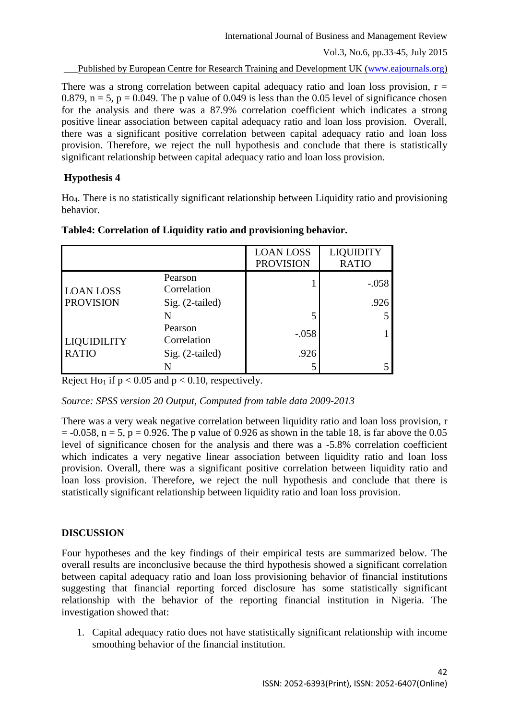Published by European Centre for Research Training and Development UK [\(www.eajournals.org\)](http://www.eajournals.org/)

There was a strong correlation between capital adequacy ratio and loan loss provision,  $r =$ 0.879,  $n = 5$ ,  $p = 0.049$ . The p value of 0.049 is less than the 0.05 level of significance chosen for the analysis and there was a 87.9% correlation coefficient which indicates a strong positive linear association between capital adequacy ratio and loan loss provision. Overall, there was a significant positive correlation between capital adequacy ratio and loan loss provision. Therefore, we reject the null hypothesis and conclude that there is statistically significant relationship between capital adequacy ratio and loan loss provision.

# **Hypothesis 4**

Ho4. There is no statistically significant relationship between Liquidity ratio and provisioning behavior.

|                                    |                        | <b>LOAN LOSS</b><br><b>PROVISION</b> | <b>LIQUIDITY</b><br><b>RATIO</b> |
|------------------------------------|------------------------|--------------------------------------|----------------------------------|
| <b>LOAN LOSS</b>                   | Pearson<br>Correlation |                                      | $-.058$                          |
| <b>PROVISION</b>                   | Sig. (2-tailed)        |                                      | .926                             |
|                                    | N                      |                                      |                                  |
| <b>LIQUIDILITY</b><br><b>RATIO</b> | Pearson<br>Correlation | $-.058$                              |                                  |
|                                    | Sig. (2-tailed)        | .926                                 |                                  |
|                                    |                        |                                      |                                  |

### **Table4: Correlation of Liquidity ratio and provisioning behavior.**

Reject H<sub>01</sub> if  $p < 0.05$  and  $p < 0.10$ , respectively.

*Source: SPSS version 20 Output, Computed from table data 2009-2013*

There was a very weak negative correlation between liquidity ratio and loan loss provision, r  $= -0.058$ ,  $n = 5$ ,  $p = 0.926$ . The p value of 0.926 as shown in the table 18, is far above the 0.05 level of significance chosen for the analysis and there was a -5.8% correlation coefficient which indicates a very negative linear association between liquidity ratio and loan loss provision. Overall, there was a significant positive correlation between liquidity ratio and loan loss provision. Therefore, we reject the null hypothesis and conclude that there is statistically significant relationship between liquidity ratio and loan loss provision.

# **DISCUSSION**

Four hypotheses and the key findings of their empirical tests are summarized below. The overall results are inconclusive because the third hypothesis showed a significant correlation between capital adequacy ratio and loan loss provisioning behavior of financial institutions suggesting that financial reporting forced disclosure has some statistically significant relationship with the behavior of the reporting financial institution in Nigeria. The investigation showed that:

1. Capital adequacy ratio does not have statistically significant relationship with income smoothing behavior of the financial institution.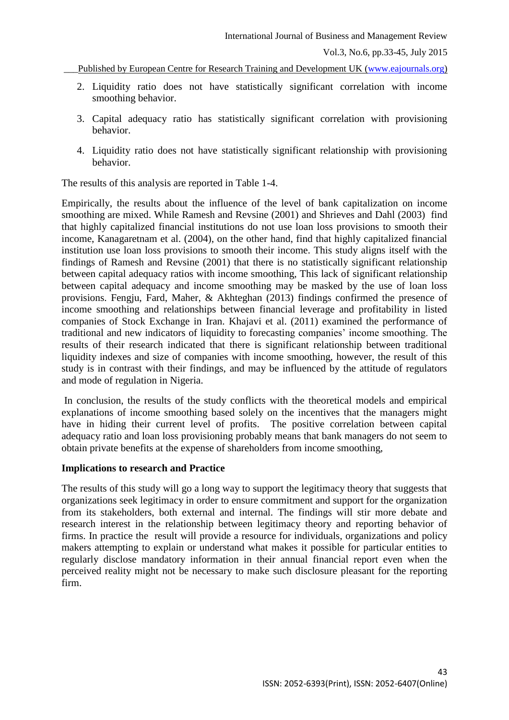- 2. Liquidity ratio does not have statistically significant correlation with income smoothing behavior.
- 3. Capital adequacy ratio has statistically significant correlation with provisioning behavior.
- 4. Liquidity ratio does not have statistically significant relationship with provisioning behavior.

The results of this analysis are reported in Table 1-4.

Empirically, the results about the influence of the level of bank capitalization on income smoothing are mixed. While Ramesh and Revsine (2001) and Shrieves and Dahl (2003) find that highly capitalized financial institutions do not use loan loss provisions to smooth their income, Kanagaretnam et al. (2004), on the other hand, find that highly capitalized financial institution use loan loss provisions to smooth their income. This study aligns itself with the findings of Ramesh and Revsine (2001) that there is no statistically significant relationship between capital adequacy ratios with income smoothing, This lack of significant relationship between capital adequacy and income smoothing may be masked by the use of loan loss provisions. Fengju, Fard, Maher, & Akhteghan (2013) findings confirmed the presence of income smoothing and relationships between financial leverage and profitability in listed companies of Stock Exchange in Iran. Khajavi et al. (2011) examined the performance of traditional and new indicators of liquidity to forecasting companies' income smoothing. The results of their research indicated that there is significant relationship between traditional liquidity indexes and size of companies with income smoothing, however, the result of this study is in contrast with their findings, and may be influenced by the attitude of regulators and mode of regulation in Nigeria.

In conclusion, the results of the study conflicts with the theoretical models and empirical explanations of income smoothing based solely on the incentives that the managers might have in hiding their current level of profits. The positive correlation between capital adequacy ratio and loan loss provisioning probably means that bank managers do not seem to obtain private benefits at the expense of shareholders from income smoothing,

#### **Implications to research and Practice**

The results of this study will go a long way to support the legitimacy theory that suggests that organizations seek legitimacy in order to ensure commitment and support for the organization from its stakeholders, both external and internal. The findings will stir more debate and research interest in the relationship between legitimacy theory and reporting behavior of firms. In practice the result will provide a resource for individuals, organizations and policy makers attempting to explain or understand what makes it possible for particular entities to regularly disclose mandatory information in their annual financial report even when the perceived reality might not be necessary to make such disclosure pleasant for the reporting firm.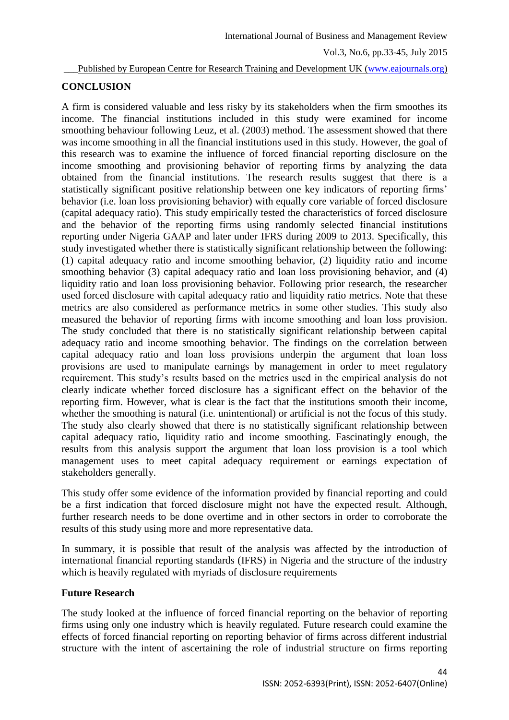#### Published by European Centre for Research Training and Development UK [\(www.eajournals.org\)](http://www.eajournals.org/)

## **CONCLUSION**

A firm is considered valuable and less risky by its stakeholders when the firm smoothes its income. The financial institutions included in this study were examined for income smoothing behaviour following Leuz, et al. (2003) method. The assessment showed that there was income smoothing in all the financial institutions used in this study. However, the goal of this research was to examine the influence of forced financial reporting disclosure on the income smoothing and provisioning behavior of reporting firms by analyzing the data obtained from the financial institutions. The research results suggest that there is a statistically significant positive relationship between one key indicators of reporting firms' behavior (i.e. loan loss provisioning behavior) with equally core variable of forced disclosure (capital adequacy ratio). This study empirically tested the characteristics of forced disclosure and the behavior of the reporting firms using randomly selected financial institutions reporting under Nigeria GAAP and later under IFRS during 2009 to 2013. Specifically, this study investigated whether there is statistically significant relationship between the following: (1) capital adequacy ratio and income smoothing behavior, (2) liquidity ratio and income smoothing behavior (3) capital adequacy ratio and loan loss provisioning behavior, and (4) liquidity ratio and loan loss provisioning behavior. Following prior research, the researcher used forced disclosure with capital adequacy ratio and liquidity ratio metrics. Note that these metrics are also considered as performance metrics in some other studies. This study also measured the behavior of reporting firms with income smoothing and loan loss provision. The study concluded that there is no statistically significant relationship between capital adequacy ratio and income smoothing behavior. The findings on the correlation between capital adequacy ratio and loan loss provisions underpin the argument that loan loss provisions are used to manipulate earnings by management in order to meet regulatory requirement. This study's results based on the metrics used in the empirical analysis do not clearly indicate whether forced disclosure has a significant effect on the behavior of the reporting firm. However, what is clear is the fact that the institutions smooth their income, whether the smoothing is natural (i.e. unintentional) or artificial is not the focus of this study. The study also clearly showed that there is no statistically significant relationship between capital adequacy ratio, liquidity ratio and income smoothing. Fascinatingly enough, the results from this analysis support the argument that loan loss provision is a tool which management uses to meet capital adequacy requirement or earnings expectation of stakeholders generally.

This study offer some evidence of the information provided by financial reporting and could be a first indication that forced disclosure might not have the expected result. Although, further research needs to be done overtime and in other sectors in order to corroborate the results of this study using more and more representative data.

In summary, it is possible that result of the analysis was affected by the introduction of international financial reporting standards (IFRS) in Nigeria and the structure of the industry which is heavily regulated with myriads of disclosure requirements

### **Future Research**

The study looked at the influence of forced financial reporting on the behavior of reporting firms using only one industry which is heavily regulated. Future research could examine the effects of forced financial reporting on reporting behavior of firms across different industrial structure with the intent of ascertaining the role of industrial structure on firms reporting